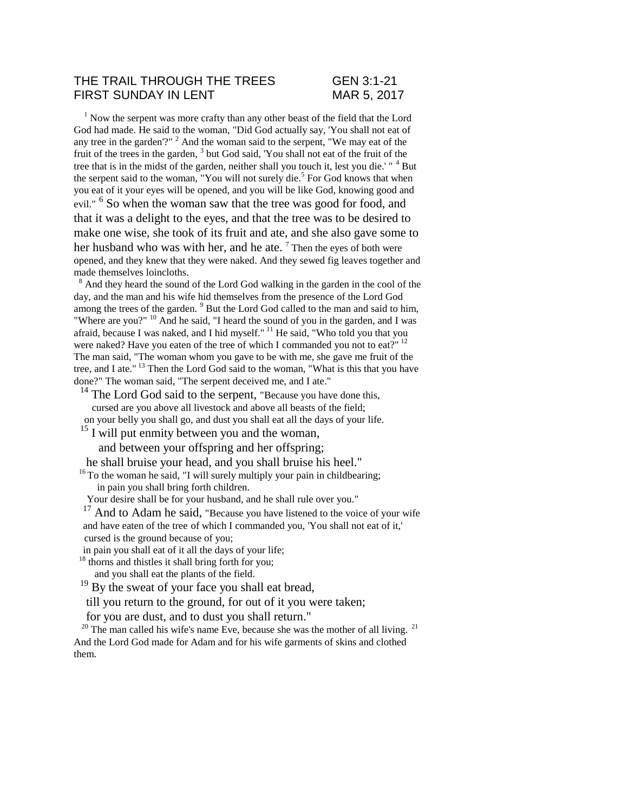## THE TRAIL THROUGH THE TREES GEN 3:1-21 FIRST SUNDAY IN LENT MAR 5, 2017

 $1$  Now the serpent was more crafty than any other beast of the field that the Lord God had made. He said to the woman, "Did God actually say, 'You shall not eat of any tree in the garden'?" <sup>2</sup> And the woman said to the serpent, "We may eat of the fruit of the trees in the garden,  $3$  but God said, 'You shall not eat of the fruit of the tree that is in the midst of the garden, neither shall you touch it, lest you die.' " $4$  But the serpent said to the woman, "You will not surely die.<sup>5</sup> For God knows that when you eat of it your eyes will be opened, and you will be like God, knowing good and evil." <sup>6</sup> So when the woman saw that the tree was good for food, and that it was a delight to the eyes, and that the tree was to be desired to make one wise, she took of its fruit and ate, and she also gave some to her husband who was with her, and he ate.  $7$  Then the eyes of both were opened, and they knew that they were naked. And they sewed fig leaves together and made themselves loincloths.

<sup>8</sup> And they heard the sound of the Lord God walking in the garden in the cool of the day, and the man and his wife hid themselves from the presence of the Lord God among the trees of the garden.<sup>9</sup> But the Lord God called to the man and said to him, "Where are you?" <sup>10</sup> And he said, "I heard the sound of you in the garden, and I was afraid, because I was naked, and I hid myself." <sup>11</sup> He said, "Who told you that you were naked? Have you eaten of the tree of which I commanded you not to eat?" <sup>12</sup> The man said, "The woman whom you gave to be with me, she gave me fruit of the tree, and I ate." <sup>13</sup> Then the Lord God said to the woman, "What is this that you have done?" The woman said, "The serpent deceived me, and I ate."

 $14$  The Lord God said to the serpent, "Because you have done this, cursed are you above all livestock and above all beasts of the field; on your belly you shall go, and dust you shall eat all the days of your life.

 $15$  I will put enmity between you and the woman,

and between your offspring and her offspring;

he shall bruise your head, and you shall bruise his heel."

 $16$ <sup>16</sup> To the woman he said, "I will surely multiply your pain in childbearing; in pain you shall bring forth children.

Your desire shall be for your husband, and he shall rule over you."

<sup>17</sup> And to Adam he said, "Because you have listened to the voice of your wife and have eaten of the tree of which I commanded you, 'You shall not eat of it,' cursed is the ground because of you;

in pain you shall eat of it all the days of your life;

<sup>18</sup> thorns and thistles it shall bring forth for you;

and you shall eat the plants of the field.

 $19$  By the sweat of your face you shall eat bread,

till you return to the ground, for out of it you were taken;

for you are dust, and to dust you shall return."

 $20$  The man called his wife's name Eve, because she was the mother of all living.<sup>21</sup> And the Lord God made for Adam and for his wife garments of skins and clothed them.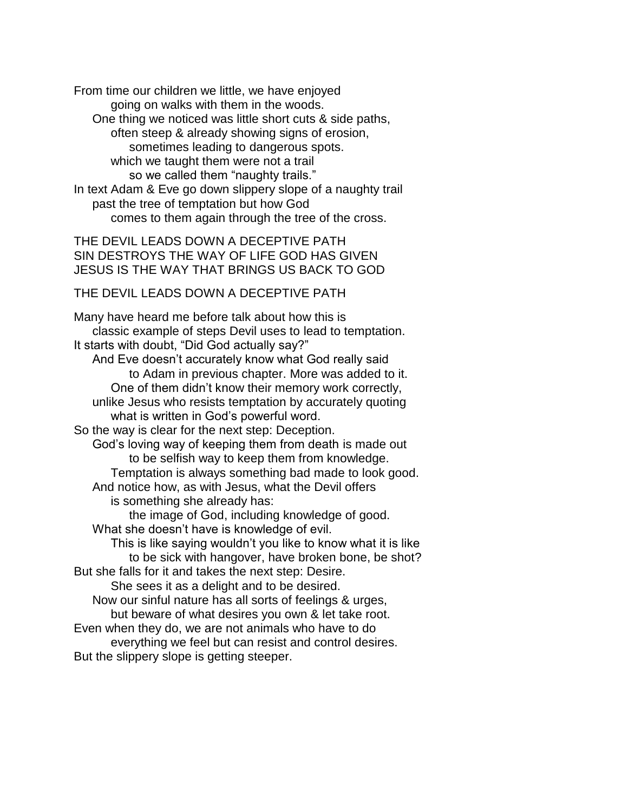From time our children we little, we have enjoyed going on walks with them in the woods. One thing we noticed was little short cuts & side paths, often steep & already showing signs of erosion, sometimes leading to dangerous spots. which we taught them were not a trail so we called them "naughty trails." In text Adam & Eve go down slippery slope of a naughty trail past the tree of temptation but how God comes to them again through the tree of the cross.

THE DEVIL LEADS DOWN A DECEPTIVE PATH SIN DESTROYS THE WAY OF LIFE GOD HAS GIVEN JESUS IS THE WAY THAT BRINGS US BACK TO GOD

THE DEVIL LEADS DOWN A DECEPTIVE PATH

Many have heard me before talk about how this is classic example of steps Devil uses to lead to temptation. It starts with doubt, "Did God actually say?" And Eve doesn't accurately know what God really said to Adam in previous chapter. More was added to it. One of them didn't know their memory work correctly, unlike Jesus who resists temptation by accurately quoting what is written in God's powerful word. So the way is clear for the next step: Deception. God's loving way of keeping them from death is made out to be selfish way to keep them from knowledge. Temptation is always something bad made to look good. And notice how, as with Jesus, what the Devil offers is something she already has: the image of God, including knowledge of good. What she doesn't have is knowledge of evil. This is like saying wouldn't you like to know what it is like to be sick with hangover, have broken bone, be shot? But she falls for it and takes the next step: Desire. She sees it as a delight and to be desired. Now our sinful nature has all sorts of feelings & urges, but beware of what desires you own & let take root. Even when they do, we are not animals who have to do everything we feel but can resist and control desires. But the slippery slope is getting steeper.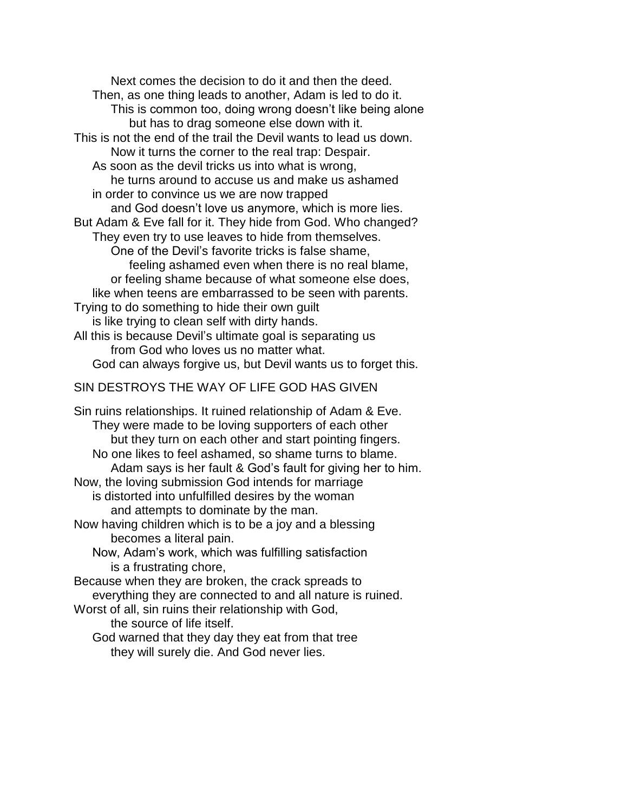Next comes the decision to do it and then the deed. Then, as one thing leads to another, Adam is led to do it. This is common too, doing wrong doesn't like being alone but has to drag someone else down with it. This is not the end of the trail the Devil wants to lead us down. Now it turns the corner to the real trap: Despair. As soon as the devil tricks us into what is wrong, he turns around to accuse us and make us ashamed in order to convince us we are now trapped and God doesn't love us anymore, which is more lies. But Adam & Eve fall for it. They hide from God. Who changed? They even try to use leaves to hide from themselves. One of the Devil's favorite tricks is false shame, feeling ashamed even when there is no real blame, or feeling shame because of what someone else does, like when teens are embarrassed to be seen with parents. Trying to do something to hide their own guilt is like trying to clean self with dirty hands. All this is because Devil's ultimate goal is separating us from God who loves us no matter what. God can always forgive us, but Devil wants us to forget this.

## SIN DESTROYS THE WAY OF LIFE GOD HAS GIVEN

Sin ruins relationships. It ruined relationship of Adam & Eve. They were made to be loving supporters of each other but they turn on each other and start pointing fingers. No one likes to feel ashamed, so shame turns to blame. Adam says is her fault & God's fault for giving her to him. Now, the loving submission God intends for marriage is distorted into unfulfilled desires by the woman and attempts to dominate by the man. Now having children which is to be a joy and a blessing becomes a literal pain. Now, Adam's work, which was fulfilling satisfaction is a frustrating chore, Because when they are broken, the crack spreads to everything they are connected to and all nature is ruined. Worst of all, sin ruins their relationship with God, the source of life itself. God warned that they day they eat from that tree they will surely die. And God never lies.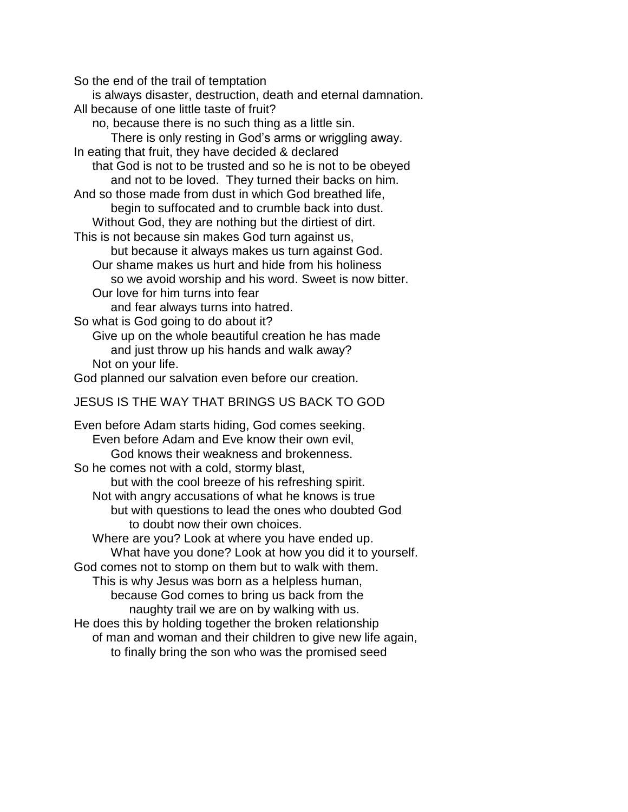So the end of the trail of temptation

is always disaster, destruction, death and eternal damnation.

All because of one little taste of fruit?

no, because there is no such thing as a little sin.

There is only resting in God's arms or wriggling away.

In eating that fruit, they have decided & declared

that God is not to be trusted and so he is not to be obeyed and not to be loved. They turned their backs on him.

And so those made from dust in which God breathed life, begin to suffocated and to crumble back into dust.

Without God, they are nothing but the dirtiest of dirt.

This is not because sin makes God turn against us,

but because it always makes us turn against God. Our shame makes us hurt and hide from his holiness

so we avoid worship and his word. Sweet is now bitter.

Our love for him turns into fear

and fear always turns into hatred.

So what is God going to do about it?

Give up on the whole beautiful creation he has made and just throw up his hands and walk away? Not on your life.

God planned our salvation even before our creation.

## JESUS IS THE WAY THAT BRINGS US BACK TO GOD

Even before Adam starts hiding, God comes seeking. Even before Adam and Eve know their own evil, God knows their weakness and brokenness. So he comes not with a cold, stormy blast, but with the cool breeze of his refreshing spirit. Not with angry accusations of what he knows is true but with questions to lead the ones who doubted God to doubt now their own choices. Where are you? Look at where you have ended up. What have you done? Look at how you did it to yourself. God comes not to stomp on them but to walk with them. This is why Jesus was born as a helpless human, because God comes to bring us back from the naughty trail we are on by walking with us. He does this by holding together the broken relationship of man and woman and their children to give new life again, to finally bring the son who was the promised seed